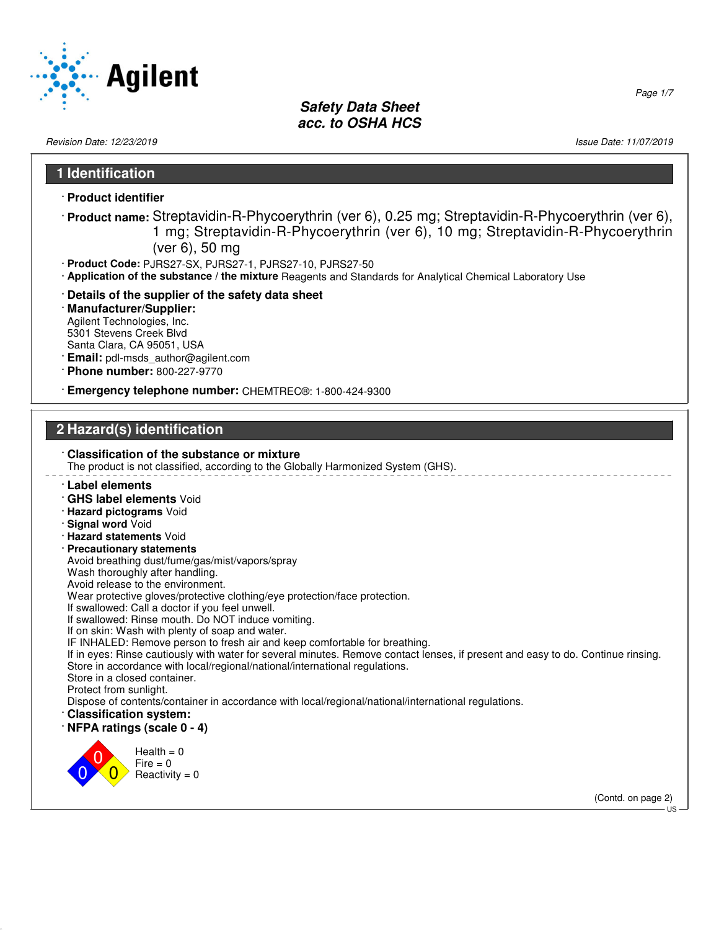

Revision Date: 12/23/2019 19:00 13:00 13:00 13:00 13:00 13:00 13:00 13:00 13:00 14:00 14:00 14:00 14:00 14:00 1

# **1 Identification**

- · **Product identifier**
- · **Product name:** Streptavidin-R-Phycoerythrin (ver 6), 0.25 mg; Streptavidin-R-Phycoerythrin (ver 6), 1 mg; Streptavidin-R-Phycoerythrin (ver 6), 10 mg; Streptavidin-R-Phycoerythrin (ver 6), 50 mg
- · **Product Code:** PJRS27-SX, PJRS27-1, PJRS27-10, PJRS27-50
- · **Application of the substance / the mixture** Reagents and Standards for Analytical Chemical Laboratory Use
- · **Details of the supplier of the safety data sheet**
- · **Manufacturer/Supplier:** Agilent Technologies, Inc. 5301 Stevens Creek Blvd Santa Clara, CA 95051, USA
- · **Email:** pdl-msds\_author@agilent.com
- · **Phone number:** 800-227-9770

· **Emergency telephone number:** CHEMTREC®: 1-800-424-9300

# **2 Hazard(s) identification**

| : Classification of the substance or mixture<br>The product is not classified, according to the Globally Harmonized System (GHS). |
|-----------------------------------------------------------------------------------------------------------------------------------|
| ∴ Label elements                                                                                                                  |
| · GHS label elements Void                                                                                                         |
| · Hazard pictograms Void                                                                                                          |
| · Signal word Void                                                                                                                |
| · Hazard statements Void                                                                                                          |
| $\cdot$ Precautionary statements                                                                                                  |
| Avoid breathing dust/fume/gas/mist/vapors/spray                                                                                   |
| Wash thoroughly after handling.<br>Avoid release to the environment.                                                              |
| Wear protective gloves/protective clothing/eye protection/face protection.                                                        |
| If swallowed: Call a doctor if you feel unwell.                                                                                   |
| If swallowed: Rinse mouth. Do NOT induce vomiting.                                                                                |
| If on skin: Wash with plenty of soap and water.                                                                                   |
| IF INHALED: Remove person to fresh air and keep comfortable for breathing.                                                        |
| If in eyes: Rinse cautiously with water for several minutes. Remove contact lenses, if present and easy to do. Continue rinsing.  |
| Store in accordance with local/regional/national/international regulations.<br>Store in a closed container.                       |
| Protect from sunlight.                                                                                                            |
| Dispose of contents/container in accordance with local/regional/national/international regulations.                               |
| Classification system:                                                                                                            |
| $\cdot$ NFPA ratings (scale 0 - 4)                                                                                                |
|                                                                                                                                   |
| Health $= 0$                                                                                                                      |
| $Fire = 0$                                                                                                                        |
| Reactivity = $0$                                                                                                                  |
| (Contd. on page 2)                                                                                                                |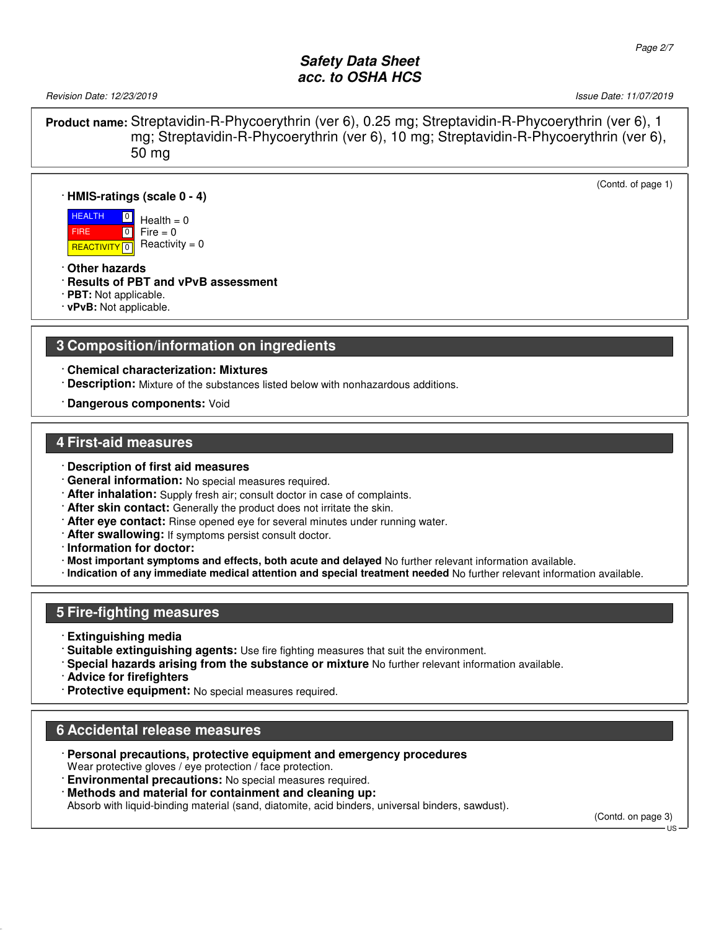Revision Date: 12/23/2019 **Issue Date: 11/07/2019** Issue Date: 11/07/2019

(Contd. of page 1)

**Product name:** Streptavidin-R-Phycoerythrin (ver 6), 0.25 mg; Streptavidin-R-Phycoerythrin (ver 6), 1 mg; Streptavidin-R-Phycoerythrin (ver 6), 10 mg; Streptavidin-R-Phycoerythrin (ver 6), 50 mg

#### · **HMIS-ratings (scale 0 - 4)**

**HEALTH**  FIRE <mark>| REACTIVITY</mark> | 0  $\boxed{0}$  $\boxed{0}$  $Health = 0$  $Fire = 0$  $Reactivity = 0$ 

- · **Other hazards**
- · **Results of PBT and vPvB assessment**
- · **PBT:** Not applicable.
- · **vPvB:** Not applicable.

#### **3 Composition/information on ingredients**

· **Chemical characterization: Mixtures**

- · **Description:** Mixture of the substances listed below with nonhazardous additions.
- · **Dangerous components:** Void

#### **4 First-aid measures**

- · **Description of first aid measures**
- · **General information:** No special measures required.
- · **After inhalation:** Supply fresh air; consult doctor in case of complaints.
- · **After skin contact:** Generally the product does not irritate the skin.
- · **After eye contact:** Rinse opened eye for several minutes under running water.
- · **After swallowing:** If symptoms persist consult doctor.
- · **Information for doctor:**
- · **Most important symptoms and effects, both acute and delayed** No further relevant information available.
- · **Indication of any immediate medical attention and special treatment needed** No further relevant information available.

#### **5 Fire-fighting measures**

- · **Extinguishing media**
- · **Suitable extinguishing agents:** Use fire fighting measures that suit the environment.
- · **Special hazards arising from the substance or mixture** No further relevant information available.
- · **Advice for firefighters**
- · **Protective equipment:** No special measures required.

#### **6 Accidental release measures**

- · **Personal precautions, protective equipment and emergency procedures** Wear protective gloves / eye protection / face protection.
- **Environmental precautions:** No special measures required.
- · **Methods and material for containment and cleaning up:**

Absorb with liquid-binding material (sand, diatomite, acid binders, universal binders, sawdust).

(Contd. on page 3)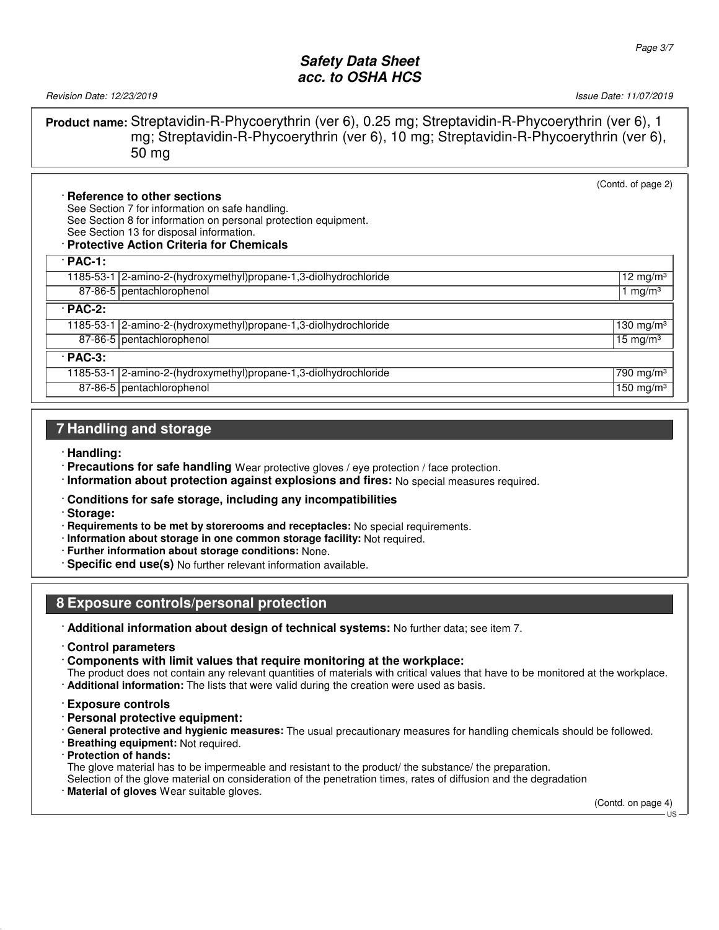Revision Date: 12/23/2019 19:00 13:00 13:00 13:00 13:00 13:00 13:00 13:00 13:00 14:00 14:00 14:00 14:00 14:00 1

**Product name:** Streptavidin-R-Phycoerythrin (ver 6), 0.25 mg; Streptavidin-R-Phycoerythrin (ver 6), 1 mg; Streptavidin-R-Phycoerythrin (ver 6), 10 mg; Streptavidin-R-Phycoerythrin (ver 6), 50 mg

|                |                                                                  | (Contd. of page 2)             |
|----------------|------------------------------------------------------------------|--------------------------------|
|                | · Reference to other sections                                    |                                |
|                | See Section 7 for information on safe handling.                  |                                |
|                | See Section 8 for information on personal protection equipment.  |                                |
|                | See Section 13 for disposal information.                         |                                |
|                | · Protective Action Criteria for Chemicals                       |                                |
| $\cdot$ PAC-1: |                                                                  |                                |
|                | 1185-53-1 2-amino-2-(hydroxymethyl)propane-1,3-diolhydrochloride | $12 \text{ mg/m}^3$            |
|                | 87-86-5 pentachlorophenol                                        | 1 mg/m <sup>3</sup>            |
| $\cdot$ PAC-2: |                                                                  |                                |
|                | 1185-53-1 2-amino-2-(hydroxymethyl)propane-1,3-diolhydrochloride | 130 mg/m $3$                   |
|                | 87-86-5   pentachlorophenol                                      | 15 mg/m $3$                    |
| $\cdot$ PAC-3: |                                                                  |                                |
|                | 1185-53-1 2-amino-2-(hydroxymethyl)propane-1,3-diolhydrochloride | $\sqrt{790}$ mg/m <sup>3</sup> |
|                | 87-86-5   pentachlorophenol                                      | 150 mg/m $3$                   |

# **7 Handling and storage**

- · **Handling:**
- · **Precautions for safe handling** Wear protective gloves / eye protection / face protection.
- · **Information about protection against explosions and fires:** No special measures required.

#### · **Conditions for safe storage, including any incompatibilities**

- · **Storage:**
- · **Requirements to be met by storerooms and receptacles:** No special requirements.
- · **Information about storage in one common storage facility:** Not required.
- · **Further information about storage conditions:** None.
- · **Specific end use(s)** No further relevant information available.

# **8 Exposure controls/personal protection**

- · **Additional information about design of technical systems:** No further data; see item 7.
- · **Control parameters**

· **Components with limit values that require monitoring at the workplace:**

The product does not contain any relevant quantities of materials with critical values that have to be monitored at the workplace.

- · **Additional information:** The lists that were valid during the creation were used as basis.
- · **Exposure controls**
- · **Personal protective equipment:**
- · **General protective and hygienic measures:** The usual precautionary measures for handling chemicals should be followed.
- · **Breathing equipment:** Not required.
- · **Protection of hands:**

The glove material has to be impermeable and resistant to the product/ the substance/ the preparation.

Selection of the glove material on consideration of the penetration times, rates of diffusion and the degradation

· **Material of gloves** Wear suitable gloves.

(Contd. on page 4)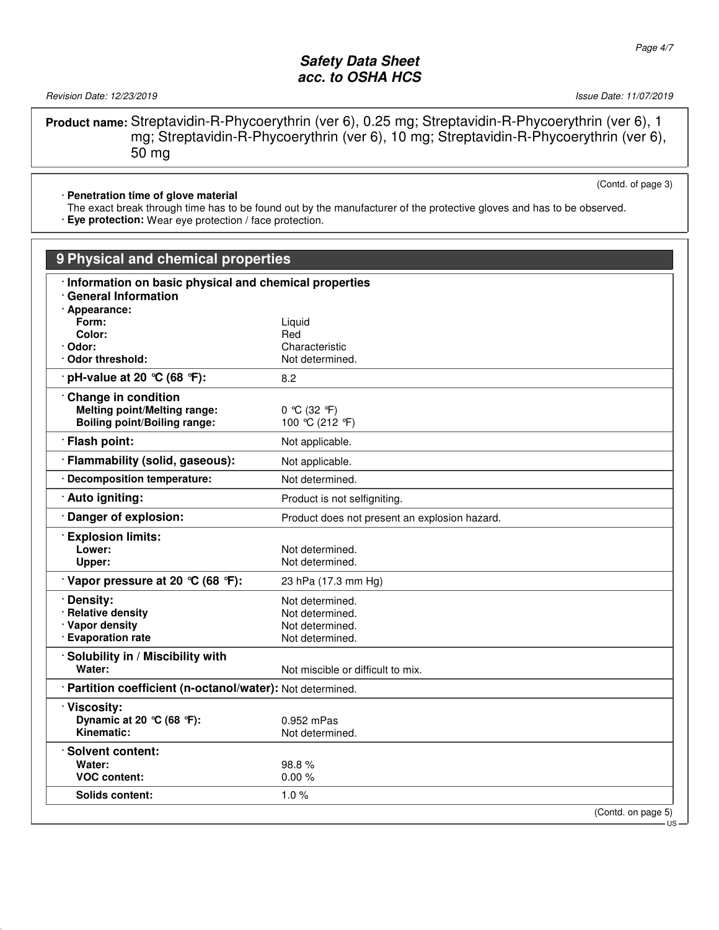Revision Date: 12/23/2019 2013 2014 12:23/2019 20:23 20:23 20:23 20:23 20:23 20:24 20:25 20:25 20:25 20:25 20:25 20:25 20:25 20:25 20:25 20:25 20:25 20:25 20:25 20:25 20:25 20:25 20:25 20:25 20:25 20:25 20:25 20:25 20:25 2

**Product name:** Streptavidin-R-Phycoerythrin (ver 6), 0.25 mg; Streptavidin-R-Phycoerythrin (ver 6), 1 mg; Streptavidin-R-Phycoerythrin (ver 6), 10 mg; Streptavidin-R-Phycoerythrin (ver 6), 50 mg

· **Penetration time of glove material**

The exact break through time has to be found out by the manufacturer of the protective gloves and has to be observed.

· **Eye protection:** Wear eye protection / face protection.

| 9 Physical and chemical properties                                                    |                                               |     |  |  |  |
|---------------------------------------------------------------------------------------|-----------------------------------------------|-----|--|--|--|
| · Information on basic physical and chemical properties<br><b>General Information</b> |                                               |     |  |  |  |
| · Appearance:                                                                         |                                               |     |  |  |  |
| Form:                                                                                 | Liquid                                        |     |  |  |  |
| Color:                                                                                | Red                                           |     |  |  |  |
| Odor:                                                                                 | Characteristic                                |     |  |  |  |
| <b>Odor threshold:</b>                                                                | Not determined.                               |     |  |  |  |
| $\cdot$ pH-value at 20 °C (68 °F):                                                    | 8.2                                           |     |  |  |  |
| Change in condition                                                                   |                                               |     |  |  |  |
| <b>Melting point/Melting range:</b>                                                   | 0 °C (32 °F)                                  |     |  |  |  |
| <b>Boiling point/Boiling range:</b>                                                   | 100 °C (212 °F)                               |     |  |  |  |
| · Flash point:                                                                        | Not applicable.                               |     |  |  |  |
| · Flammability (solid, gaseous):                                                      | Not applicable.                               |     |  |  |  |
| · Decomposition temperature:                                                          | Not determined.                               |     |  |  |  |
| · Auto igniting:                                                                      | Product is not selfigniting.                  |     |  |  |  |
| Danger of explosion:                                                                  | Product does not present an explosion hazard. |     |  |  |  |
| <b>Explosion limits:</b>                                                              |                                               |     |  |  |  |
| Lower:                                                                                | Not determined.                               |     |  |  |  |
| Upper:                                                                                | Not determined.                               |     |  |  |  |
| $\cdot$ Vapor pressure at 20 °C (68 °F):                                              | 23 hPa (17.3 mm Hg)                           |     |  |  |  |
| · Density:                                                                            | Not determined.                               |     |  |  |  |
| · Relative density                                                                    | Not determined.                               |     |  |  |  |
| · Vapor density                                                                       | Not determined.                               |     |  |  |  |
| · Evaporation rate                                                                    | Not determined.                               |     |  |  |  |
| · Solubility in / Miscibility with                                                    |                                               |     |  |  |  |
| Water:                                                                                | Not miscible or difficult to mix.             |     |  |  |  |
| · Partition coefficient (n-octanol/water): Not determined.                            |                                               |     |  |  |  |
| · Viscosity:                                                                          |                                               |     |  |  |  |
| Dynamic at 20 $°C$ (68 °F):                                                           | $0.952$ mPas                                  |     |  |  |  |
| Kinematic:                                                                            | Not determined.                               |     |  |  |  |
| · Solvent content:                                                                    |                                               |     |  |  |  |
| Water:                                                                                | 98.8%                                         |     |  |  |  |
| <b>VOC content:</b>                                                                   | 0.00%                                         |     |  |  |  |
| <b>Solids content:</b>                                                                | 1.0%                                          |     |  |  |  |
|                                                                                       | (Contd. on page 5)                            |     |  |  |  |
|                                                                                       |                                               | US. |  |  |  |

(Contd. of page 3)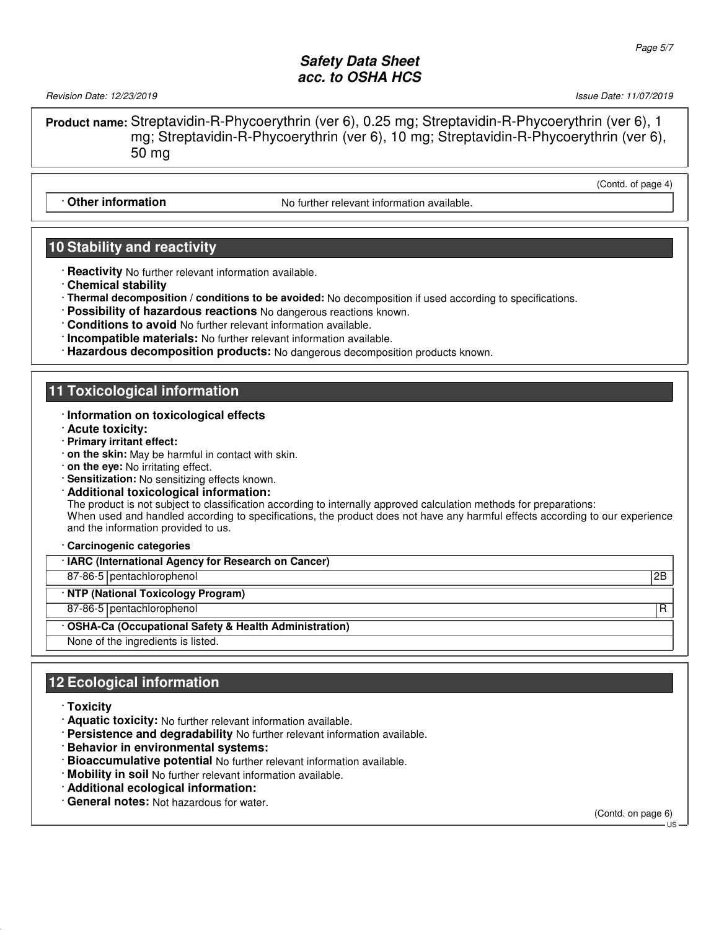Revision Date: 12/23/2019 19:00 13:00 13:00 13:00 13:00 13:00 13:00 13:00 13:00 14:00 14:00 14:00 14:00 14:00 1

(Contd. of page 4)

**Product name:** Streptavidin-R-Phycoerythrin (ver 6), 0.25 mg; Streptavidin-R-Phycoerythrin (ver 6), 1 mg; Streptavidin-R-Phycoerythrin (ver 6), 10 mg; Streptavidin-R-Phycoerythrin (ver 6), 50 mg

**Other information** Communistic Relation Moturther relevant information available.

### **10 Stability and reactivity**

- · **Reactivity** No further relevant information available.
- · **Chemical stability**
- · **Thermal decomposition / conditions to be avoided:** No decomposition if used according to specifications.
- · **Possibility of hazardous reactions** No dangerous reactions known.
- · **Conditions to avoid** No further relevant information available.
- · **Incompatible materials:** No further relevant information available.
- · **Hazardous decomposition products:** No dangerous decomposition products known.

### **11 Toxicological information**

#### · **Information on toxicological effects**

- · **Acute toxicity:**
- · **Primary irritant effect:**
- · **on the skin:** May be harmful in contact with skin.
- · **on the eye:** No irritating effect.
- · **Sensitization:** No sensitizing effects known.
- · **Additional toxicological information:**

The product is not subject to classification according to internally approved calculation methods for preparations: When used and handled according to specifications, the product does not have any harmful effects according to our experience and the information provided to us.

· **Carcinogenic categories**

· **IARC (International Agency for Research on Cancer)**

87-86-5 pentachlorophenol 2B

· **NTP (National Toxicology Program)**

87-86-5 pentachlorophenol R

· **OSHA-Ca (Occupational Safety & Health Administration)**

None of the ingredients is listed.

# **12 Ecological information**

- · **Toxicity**
- · **Aquatic toxicity:** No further relevant information available.
- · **Persistence and degradability** No further relevant information available.
- · **Behavior in environmental systems:**
- · **Bioaccumulative potential** No further relevant information available.
- · **Mobility in soil** No further relevant information available.
- · **Additional ecological information:**
- · **General notes:** Not hazardous for water.

(Contd. on page 6)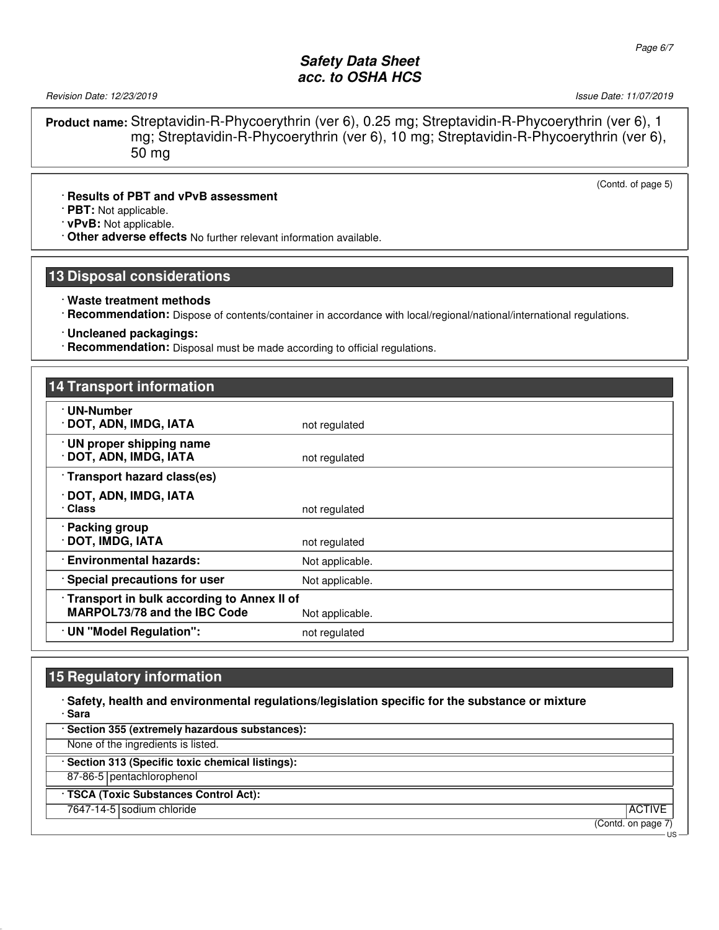Revision Date: 12/23/2019 **Issue Date: 11/07/2019** Issue Date: 11/07/2019

(Contd. of page 5)

**Product name:** Streptavidin-R-Phycoerythrin (ver 6), 0.25 mg; Streptavidin-R-Phycoerythrin (ver 6), 1 mg; Streptavidin-R-Phycoerythrin (ver 6), 10 mg; Streptavidin-R-Phycoerythrin (ver 6), 50 mg

#### · **Results of PBT and vPvB assessment**

· **PBT:** Not applicable.

· **vPvB:** Not applicable.

· **Other adverse effects** No further relevant information available.

#### **13 Disposal considerations**

#### · **Waste treatment methods**

· **Recommendation:** Dispose of contents/container in accordance with local/regional/national/international regulations.

· **Uncleaned packagings:**

· **Recommendation:** Disposal must be made according to official regulations.

| <b>14 Transport information</b>                                            |                 |
|----------------------------------------------------------------------------|-----------------|
| · UN-Number<br>· DOT, ADN, IMDG, IATA                                      | not regulated   |
| · UN proper shipping name<br>· DOT, ADN, IMDG, IATA                        | not regulated   |
| · Transport hazard class(es)                                               |                 |
| · DOT, ADN, IMDG, IATA<br>· Class                                          | not regulated   |
| · Packing group<br>· DOT, IMDG, IATA                                       | not regulated   |
| · Environmental hazards:                                                   | Not applicable. |
| · Special precautions for user                                             | Not applicable. |
| Transport in bulk according to Annex II of<br>MARPOL73/78 and the IBC Code | Not applicable. |
| · UN "Model Regulation":                                                   | not regulated   |

#### **15 Regulatory information**

· **Safety, health and environmental regulations/legislation specific for the substance or mixture** · **Sara**

· **Section 355 (extremely hazardous substances):**

None of the ingredients is listed.

· **Section 313 (Specific toxic chemical listings):**

87-86-5 pentachlorophenol

· **TSCA (Toxic Substances Control Act):**

7647-14-5 sodium chloride ACTIVE ACTIVE ACTIVE ACTIVE ACTIVE ACTIVE ACTIVE ACTIVE ACTIVE ACTIVE ACTIVE ACTIVE

(Contd. on page 7)